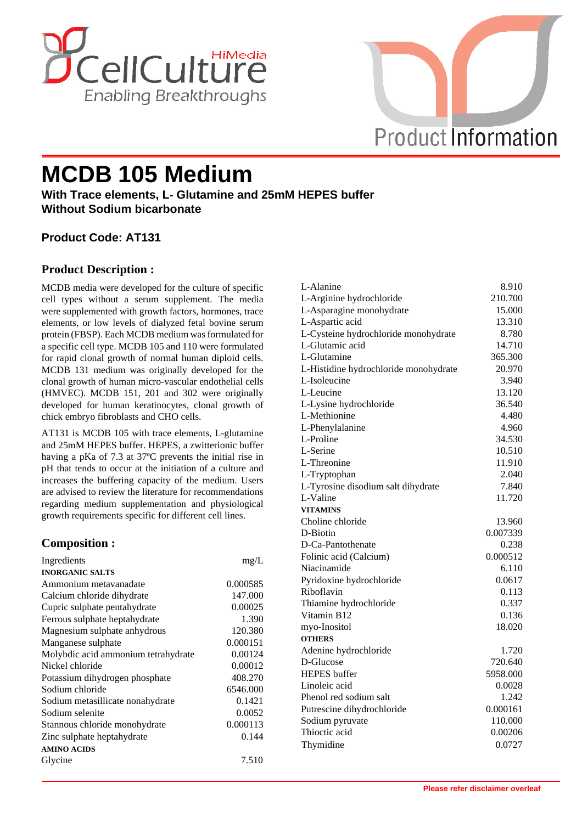



# **MCDB 105 Medium**

**With Trace elements, L- Glutamine and 25mM HEPES buffer Without Sodium bicarbonate**

## **Product Code: AT131**

## **Product Description :**

MCDB media were developed for the culture of specific cell types without a serum supplement. The media were supplemented with growth factors, hormones, trace elements, or low levels of dialyzed fetal bovine serum protein (FBSP). Each MCDB medium was formulated for a specific cell type. MCDB 105 and 110 were formulated for rapid clonal growth of normal human diploid cells. MCDB 131 medium was originally developed for the clonal growth of human micro-vascular endothelial cells (HMVEC). MCDB 151, 201 and 302 were originally developed for human keratinocytes, clonal growth of chick embryo fibroblasts and CHO cells.

AT131 is MCDB 105 with trace elements, L-glutamine and 25mM HEPES buffer. HEPES, a zwitterionic buffer having a pKa of 7.3 at 37ºC prevents the initial rise in pH that tends to occur at the initiation of a culture and increases the buffering capacity of the medium. Users are advised to review the literature for recommendations regarding medium supplementation and physiological growth requirements specific for different cell lines.

## **Composition :**

| Ingredients                         | mg/L     |
|-------------------------------------|----------|
| <b>INORGANIC SALTS</b>              |          |
| Ammonium metavanadate               | 0.000585 |
| Calcium chloride dihydrate          | 147.000  |
| Cupric sulphate pentahydrate        | 0.00025  |
| Ferrous sulphate heptahydrate       | 1.390    |
| Magnesium sulphate anhydrous        | 120.380  |
| Manganese sulphate                  | 0.000151 |
| Molybdic acid ammonium tetrahydrate | 0.00124  |
| Nickel chloride                     | 0.00012  |
| Potassium dihydrogen phosphate      | 408.270  |
| Sodium chloride                     | 6546.000 |
| Sodium metasillicate nonahydrate    | 0.1421   |
| Sodium selenite                     | 0.0052   |
| Stannous chloride monohydrate       | 0.000113 |
| Zinc sulphate heptahydrate          | 0.144    |
| <b>AMINO ACIDS</b>                  |          |
| Glycine                             | 7.510    |

| L-Alanine                             | 8.910    |
|---------------------------------------|----------|
| L-Arginine hydrochloride              | 210.700  |
| L-Asparagine monohydrate              | 15.000   |
| L-Aspartic acid                       | 13.310   |
| L-Cysteine hydrochloride monohydrate  | 8.780    |
| L-Glutamic acid                       | 14.710   |
| L-Glutamine                           | 365.300  |
| L-Histidine hydrochloride monohydrate | 20.970   |
| L-Isoleucine                          | 3.940    |
| L-Leucine                             | 13.120   |
| L-Lysine hydrochloride                | 36.540   |
| L-Methionine                          | 4.480    |
| L-Phenylalanine                       | 4.960    |
| L-Proline                             | 34.530   |
| L-Serine                              | 10.510   |
| L-Threonine                           | 11.910   |
| L-Tryptophan                          | 2.040    |
| L-Tyrosine disodium salt dihydrate    | 7.840    |
| L-Valine                              | 11.720   |
| <b>VITAMINS</b>                       |          |
| Choline chloride                      | 13.960   |
| D-Biotin                              | 0.007339 |
| D-Ca-Pantothenate                     | 0.238    |
| Folinic acid (Calcium)                | 0.000512 |
| Niacinamide                           | 6.110    |
| Pyridoxine hydrochloride              | 0.0617   |
| Riboflavin                            | 0.113    |
| Thiamine hydrochloride                | 0.337    |
| Vitamin B12                           | 0.136    |
| myo-Inositol                          | 18.020   |
| <b>OTHERS</b>                         |          |
| Adenine hydrochloride                 | 1.720    |
| D-Glucose                             | 720.640  |
| <b>HEPES</b> buffer                   | 5958.000 |
| Linoleic acid                         | 0.0028   |
| Phenol red sodium salt                | 1.242    |
| Putrescine dihydrochloride            | 0.000161 |
| Sodium pyruvate                       | 110.000  |
| Thioctic acid                         | 0.00206  |
| Thymidine                             | 0.0727   |